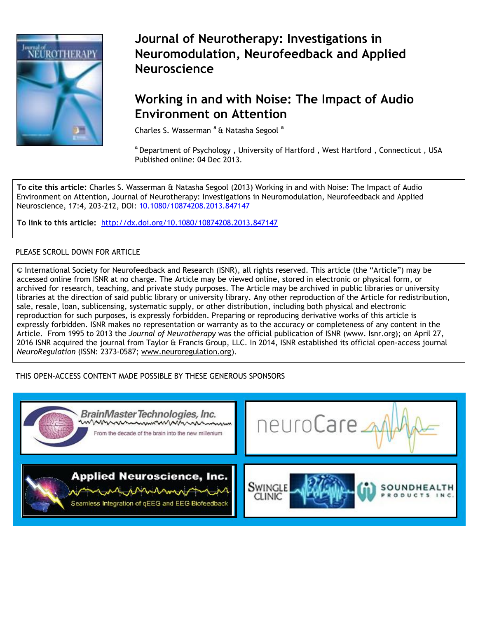

# **Journal of Neurotherapy: Investigations in Neuromodulation, Neurofeedback and Applied Neuroscience**

# **[Working in and with Noise](http://www.tandfonline.com/loi/wneu20): The Impact of Audio Environment on Attention**

Charles S. Wasserman <sup>a</sup> & Natasha Segool <sup>a</sup>

a Department of Psychology, University of Hartford, West Hartford, Connecticut, USA Published online: 04 Dec 2013.

**To cite this article:** Charles S. Wasserman & Natasha Segool (2013) Working in and with Noise: The Impact of Audio Environment on Attention, Journal of Neurotherapy: Investigations in Neuromodulation, Neurofeedback and Applied Neuroscience, 17:4, 203-212, DOI: 10.1080/10874208.2013.847147

**To link to this article:** <http://dx.doi.org/10.1080/10874208.2013.847147>

## PLEASE SCROLL DOWN FOR ARTICLE

© International Society for Neurofeedback and Research (ISNR), all rights reserved. This article (the "Article") may be accessed online from ISNR at no charge. The Article may be viewed online, stored in electronic or physical form, or archived for research, teaching, and private study purposes. The Article may be archived in public libraries or university libraries at the direction of said public library or university library. Any other reproduction of the Article for redistribution, sale, resale, loan, sublicensing, systematic supply, or other distribution, including both physical and electronic reproduction for such purposes, is expressly forbidden. Preparing or reproducing derivative works of this article is expressly forbidden. ISNR makes no representation or warranty as to the accuracy or completeness of any content in the Article. From 1995 to 2013 the *Journal of Neurotherapy* was the official publication of ISNR (www. Isnr.org); on April 27, 2016 ISNR acquired the journal from Taylor & Francis Group, LLC. In 2014, ISNR established its official open-access journal *NeuroRegulation* (ISSN: 2373-0587; [www.neuroregulation.org\)](http://www.neuroregulation.org/).

## THIS OPEN-ACCESS CONTENT MADE POSSIBLE BY THESE GENEROUS SPONSORS

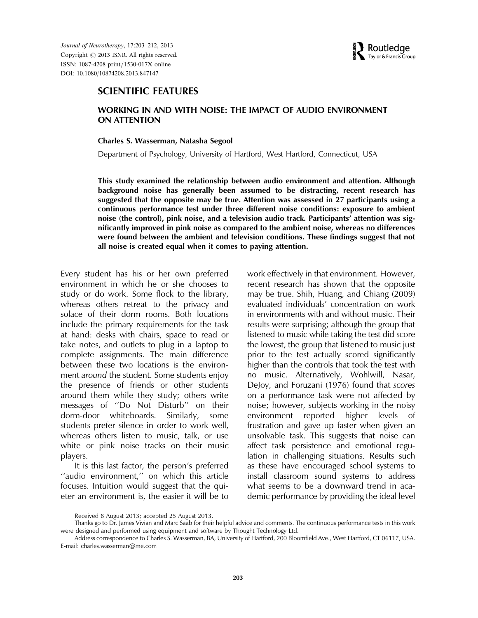

# SCIENTIFIC FEATURES

## WORKING IN AND WITH NOISE: THE IMPACT OF AUDIO ENVIRONMENT ON ATTENTION

#### Charles S. Wasserman, Natasha Segool

Department of Psychology, University of Hartford, West Hartford, Connecticut, USA

This study examined the relationship between audio environment and attention. Although background noise has generally been assumed to be distracting, recent research has suggested that the opposite may be true. Attention was assessed in 27 participants using a continuous performance test under three different noise conditions: exposure to ambient noise (the control), pink noise, and a television audio track. Participants' attention was significantly improved in pink noise as compared to the ambient noise, whereas no differences were found between the ambient and television conditions. These findings suggest that not all noise is created equal when it comes to paying attention.

Every student has his or her own preferred environment in which he or she chooses to study or do work. Some flock to the library, whereas others retreat to the privacy and solace of their dorm rooms. Both locations include the primary requirements for the task at hand: desks with chairs, space to read or take notes, and outlets to plug in a laptop to complete assignments. The main difference between these two locations is the environment around the student. Some students enjoy the presence of friends or other students around them while they study; others write messages of ''Do Not Disturb'' on their dorm-door whiteboards. Similarly, some students prefer silence in order to work well, whereas others listen to music, talk, or use white or pink noise tracks on their music players.

It is this last factor, the person's preferred ''audio environment,'' on which this article focuses. Intuition would suggest that the quieter an environment is, the easier it will be to work effectively in that environment. However, recent research has shown that the opposite may be true. Shih, Huang, and Chiang (2009) evaluated individuals' concentration on work in environments with and without music. Their results were surprising; although the group that listened to music while taking the test did score the lowest, the group that listened to music just prior to the test actually scored significantly higher than the controls that took the test with no music. Alternatively, Wohlwill, Nasar, DeJoy, and Foruzani (1976) found that scores on a performance task were not affected by noise; however, subjects working in the noisy environment reported higher levels of frustration and gave up faster when given an unsolvable task. This suggests that noise can affect task persistence and emotional regulation in challenging situations. Results such as these have encouraged school systems to install classroom sound systems to address what seems to be a downward trend in academic performance by providing the ideal level

Received 8 August 2013; accepted 25 August 2013.

Thanks go to Dr. James Vivian and Marc Saab for their helpful advice and comments. The continuous performance tests in this work were designed and performed using equipment and software by Thought Technology Ltd.

Address correspondence to Charles S. Wasserman, BA, University of Hartford, 200 Bloomfield Ave., West Hartford, CT 06117, USA. E-mail: charles.wasserman@me.com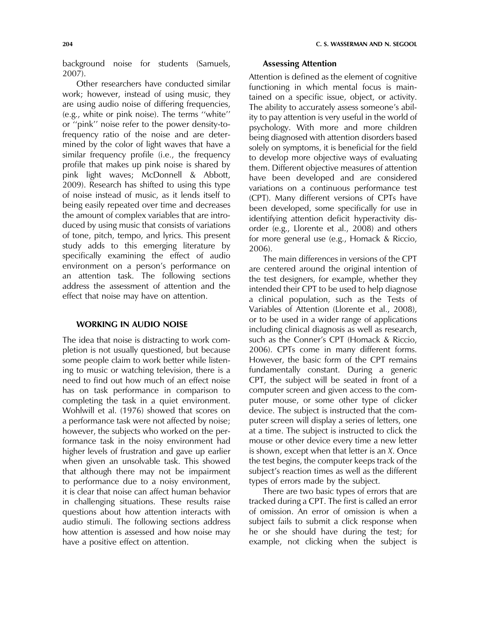background noise for students (Samuels, 2007).

Other researchers have conducted similar work; however, instead of using music, they are using audio noise of differing frequencies, (e.g., white or pink noise). The terms ''white'' or ''pink'' noise refer to the power density-tofrequency ratio of the noise and are determined by the color of light waves that have a similar frequency profile (i.e., the frequency profile that makes up pink noise is shared by pink light waves; McDonnell & Abbott, 2009). Research has shifted to using this type of noise instead of music, as it lends itself to being easily repeated over time and decreases the amount of complex variables that are introduced by using music that consists of variations of tone, pitch, tempo, and lyrics. This present study adds to this emerging literature by specifically examining the effect of audio environment on a person's performance on an attention task. The following sections address the assessment of attention and the effect that noise may have on attention.

## WORKING IN AUDIO NOISE

The idea that noise is distracting to work completion is not usually questioned, but because some people claim to work better while listening to music or watching television, there is a need to find out how much of an effect noise has on task performance in comparison to completing the task in a quiet environment. Wohlwill et al. (1976) showed that scores on a performance task were not affected by noise; however, the subjects who worked on the performance task in the noisy environment had higher levels of frustration and gave up earlier when given an unsolvable task. This showed that although there may not be impairment to performance due to a noisy environment, it is clear that noise can affect human behavior in challenging situations. These results raise questions about how attention interacts with audio stimuli. The following sections address how attention is assessed and how noise may have a positive effect on attention.

## Assessing Attention

Attention is defined as the element of cognitive functioning in which mental focus is maintained on a specific issue, object, or activity. The ability to accurately assess someone's ability to pay attention is very useful in the world of psychology. With more and more children being diagnosed with attention disorders based solely on symptoms, it is beneficial for the field to develop more objective ways of evaluating them. Different objective measures of attention have been developed and are considered variations on a continuous performance test (CPT). Many different versions of CPTs have been developed, some specifically for use in identifying attention deficit hyperactivity disorder (e.g., Llorente et al., 2008) and others for more general use (e.g., Homack & Riccio, 2006).

The main differences in versions of the CPT are centered around the original intention of the test designers, for example, whether they intended their CPT to be used to help diagnose a clinical population, such as the Tests of Variables of Attention (Llorente et al., 2008), or to be used in a wider range of applications including clinical diagnosis as well as research, such as the Conner's CPT (Homack & Riccio, 2006). CPTs come in many different forms. However, the basic form of the CPT remains fundamentally constant. During a generic CPT, the subject will be seated in front of a computer screen and given access to the computer mouse, or some other type of clicker device. The subject is instructed that the computer screen will display a series of letters, one at a time. The subject is instructed to click the mouse or other device every time a new letter is shown, except when that letter is an X. Once the test begins, the computer keeps track of the subject's reaction times as well as the different types of errors made by the subject.

There are two basic types of errors that are tracked during a CPT. The first is called an error of omission. An error of omission is when a subject fails to submit a click response when he or she should have during the test; for example, not clicking when the subject is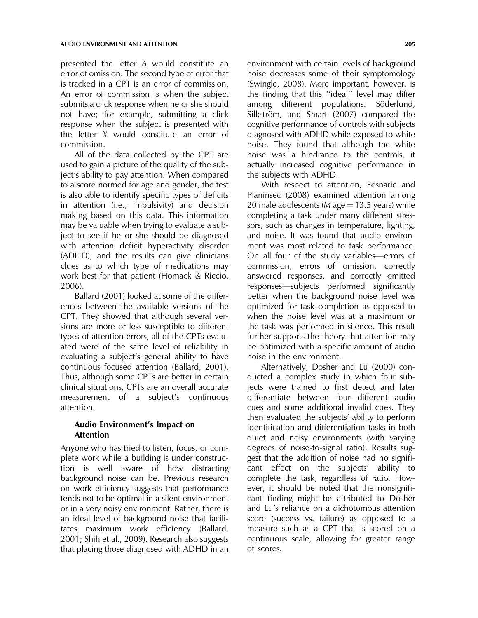presented the letter A would constitute an error of omission. The second type of error that is tracked in a CPT is an error of commission. An error of commission is when the subject submits a click response when he or she should not have; for example, submitting a click response when the subject is presented with the letter X would constitute an error of commission.

All of the data collected by the CPT are used to gain a picture of the quality of the subject's ability to pay attention. When compared to a score normed for age and gender, the test is also able to identify specific types of deficits in attention (i.e., impulsivity) and decision making based on this data. This information may be valuable when trying to evaluate a subject to see if he or she should be diagnosed with attention deficit hyperactivity disorder (ADHD), and the results can give clinicians clues as to which type of medications may work best for that patient (Homack & Riccio, 2006).

Ballard (2001) looked at some of the differences between the available versions of the CPT. They showed that although several versions are more or less susceptible to different types of attention errors, all of the CPTs evaluated were of the same level of reliability in evaluating a subject's general ability to have continuous focused attention (Ballard, 2001). Thus, although some CPTs are better in certain clinical situations, CPTs are an overall accurate measurement of a subject's continuous attention.

## Audio Environment's Impact on Attention

Anyone who has tried to listen, focus, or complete work while a building is under construction is well aware of how distracting background noise can be. Previous research on work efficiency suggests that performance tends not to be optimal in a silent environment or in a very noisy environment. Rather, there is an ideal level of background noise that facilitates maximum work efficiency (Ballard, 2001; Shih et al., 2009). Research also suggests that placing those diagnosed with ADHD in an environment with certain levels of background noise decreases some of their symptomology (Swingle, 2008). More important, however, is the finding that this ''ideal'' level may differ among different populations. Söderlund, Silkström, and Smart (2007) compared the cognitive performance of controls with subjects diagnosed with ADHD while exposed to white noise. They found that although the white noise was a hindrance to the controls, it actually increased cognitive performance in the subjects with ADHD.

With respect to attention, Fosnaric and Planinsec (2008) examined attention among 20 male adolescents ( $M$  age = 13.5 years) while completing a task under many different stressors, such as changes in temperature, lighting, and noise. It was found that audio environment was most related to task performance. On all four of the study variables—errors of commission, errors of omission, correctly answered responses, and correctly omitted responses—subjects performed significantly better when the background noise level was optimized for task completion as opposed to when the noise level was at a maximum or the task was performed in silence. This result further supports the theory that attention may be optimized with a specific amount of audio noise in the environment.

Alternatively, Dosher and Lu (2000) conducted a complex study in which four subjects were trained to first detect and later differentiate between four different audio cues and some additional invalid cues. They then evaluated the subjects' ability to perform identification and differentiation tasks in both quiet and noisy environments (with varying degrees of noise-to-signal ratio). Results suggest that the addition of noise had no significant effect on the subjects' ability to complete the task, regardless of ratio. However, it should be noted that the nonsignificant finding might be attributed to Dosher and Lu's reliance on a dichotomous attention score (success vs. failure) as opposed to a measure such as a CPT that is scored on a continuous scale, allowing for greater range of scores.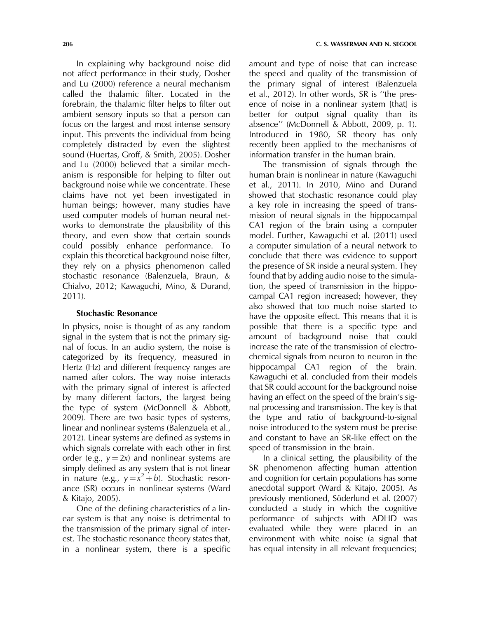In explaining why background noise did not affect performance in their study, Dosher and Lu (2000) reference a neural mechanism called the thalamic filter. Located in the forebrain, the thalamic filter helps to filter out ambient sensory inputs so that a person can focus on the largest and most intense sensory input. This prevents the individual from being completely distracted by even the slightest sound (Huertas, Groff, & Smith, 2005). Dosher and Lu (2000) believed that a similar mechanism is responsible for helping to filter out background noise while we concentrate. These claims have not yet been investigated in human beings; however, many studies have used computer models of human neural networks to demonstrate the plausibility of this theory, and even show that certain sounds could possibly enhance performance. To explain this theoretical background noise filter, they rely on a physics phenomenon called stochastic resonance (Balenzuela, Braun, & Chialvo, 2012; Kawaguchi, Mino, & Durand, 2011).

## Stochastic Resonance

In physics, noise is thought of as any random signal in the system that is not the primary signal of focus. In an audio system, the noise is categorized by its frequency, measured in Hertz (Hz) and different frequency ranges are named after colors. The way noise interacts with the primary signal of interest is affected by many different factors, the largest being the type of system (McDonnell & Abbott, 2009). There are two basic types of systems, linear and nonlinear systems (Balenzuela et al., 2012). Linear systems are defined as systems in which signals correlate with each other in first order (e.g.,  $y = 2x$ ) and nonlinear systems are simply defined as any system that is not linear in nature (e.g.,  $y = x^2 + b$ ). Stochastic resonance (SR) occurs in nonlinear systems (Ward & Kitajo, 2005).

One of the defining characteristics of a linear system is that any noise is detrimental to the transmission of the primary signal of interest. The stochastic resonance theory states that, in a nonlinear system, there is a specific amount and type of noise that can increase the speed and quality of the transmission of the primary signal of interest (Balenzuela et al., 2012). In other words, SR is ''the presence of noise in a nonlinear system [that] is better for output signal quality than its absence'' (McDonnell & Abbott, 2009, p. 1). Introduced in 1980, SR theory has only recently been applied to the mechanisms of information transfer in the human brain.

The transmission of signals through the human brain is nonlinear in nature (Kawaguchi et al., 2011). In 2010, Mino and Durand showed that stochastic resonance could play a key role in increasing the speed of transmission of neural signals in the hippocampal CA1 region of the brain using a computer model. Further, Kawaguchi et al. (2011) used a computer simulation of a neural network to conclude that there was evidence to support the presence of SR inside a neural system. They found that by adding audio noise to the simulation, the speed of transmission in the hippocampal CA1 region increased; however, they also showed that too much noise started to have the opposite effect. This means that it is possible that there is a specific type and amount of background noise that could increase the rate of the transmission of electrochemical signals from neuron to neuron in the hippocampal CA1 region of the brain. Kawaguchi et al. concluded from their models that SR could account for the background noise having an effect on the speed of the brain's signal processing and transmission. The key is that the type and ratio of background-to-signal noise introduced to the system must be precise and constant to have an SR-like effect on the speed of transmission in the brain.

In a clinical setting, the plausibility of the SR phenomenon affecting human attention and cognition for certain populations has some anecdotal support (Ward & Kitajo, 2005). As previously mentioned, Söderlund et al. (2007) conducted a study in which the cognitive performance of subjects with ADHD was evaluated while they were placed in an environment with white noise (a signal that has equal intensity in all relevant frequencies;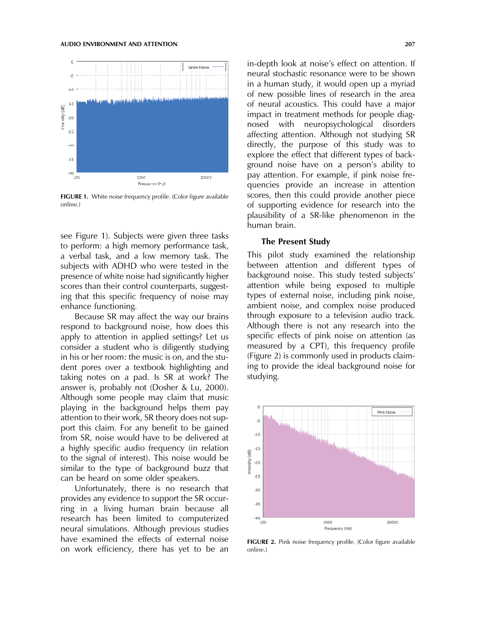

FIGURE 1. White noise frequency profile. (Color figure available online.)

see Figure 1). Subjects were given three tasks to perform: a high memory performance task, a verbal task, and a low memory task. The subjects with ADHD who were tested in the presence of white noise had significantly higher scores than their control counterparts, suggesting that this specific frequency of noise may enhance functioning.

Because SR may affect the way our brains respond to background noise, how does this apply to attention in applied settings? Let us consider a student who is diligently studying in his or her room: the music is on, and the student pores over a textbook highlighting and taking notes on a pad. Is SR at work? The answer is, probably not (Dosher & Lu, 2000). Although some people may claim that music playing in the background helps them pay attention to their work, SR theory does not support this claim. For any benefit to be gained from SR, noise would have to be delivered at a highly specific audio frequency (in relation to the signal of interest). This noise would be similar to the type of background buzz that can be heard on some older speakers.

Unfortunately, there is no research that provides any evidence to support the SR occurring in a living human brain because all research has been limited to computerized neural simulations. Although previous studies have examined the effects of external noise on work efficiency, there has yet to be an in-depth look at noise's effect on attention. If neural stochastic resonance were to be shown in a human study, it would open up a myriad of new possible lines of research in the area of neural acoustics. This could have a major impact in treatment methods for people diagnosed with neuropsychological disorders affecting attention. Although not studying SR directly, the purpose of this study was to explore the effect that different types of background noise have on a person's ability to pay attention. For example, if pink noise frequencies provide an increase in attention scores, then this could provide another piece of supporting evidence for research into the plausibility of a SR-like phenomenon in the human brain.

#### The Present Study

This pilot study examined the relationship between attention and different types of background noise. This study tested subjects' attention while being exposed to multiple types of external noise, including pink noise, ambient noise, and complex noise produced through exposure to a television audio track. Although there is not any research into the specific effects of pink noise on attention (as measured by a CPT), this frequency profile (Figure 2) is commonly used in products claiming to provide the ideal background noise for studying.



FIGURE 2. Pink noise frequency profile. (Color figure available online.)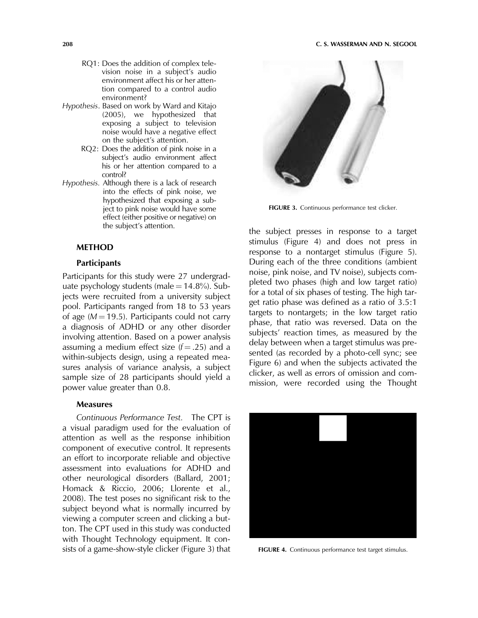#### 208 C. S. WASSERMAN AND N. SEGOOL

- RQ1: Does the addition of complex television noise in a subject's audio environment affect his or her attention compared to a control audio environment?
- Hypothesis. Based on work by Ward and Kitajo (2005), we hypothesized that exposing a subject to television noise would have a negative effect on the subject's attention.
	- RQ2: Does the addition of pink noise in a subject's audio environment affect his or her attention compared to a control?
- Hypothesis. Although there is a lack of research into the effects of pink noise, we hypothesized that exposing a subject to pink noise would have some effect (either positive or negative) on the subject's attention.

#### METHOD

#### **Participants**

Participants for this study were 27 undergraduate psychology students (male =  $14.8\%$ ). Subjects were recruited from a university subject pool. Participants ranged from 18 to 53 years of age ( $M = 19.5$ ). Participants could not carry a diagnosis of ADHD or any other disorder involving attention. Based on a power analysis assuming a medium effect size  $(f = .25)$  and a within-subjects design, using a repeated measures analysis of variance analysis, a subject sample size of 28 participants should yield a power value greater than 0.8.

### Measures

Continuous Performance Test. The CPT is a visual paradigm used for the evaluation of attention as well as the response inhibition component of executive control. It represents an effort to incorporate reliable and objective assessment into evaluations for ADHD and other neurological disorders (Ballard, 2001; Homack & Riccio, 2006; Llorente et al., 2008). The test poses no significant risk to the subject beyond what is normally incurred by viewing a computer screen and clicking a button. The CPT used in this study was conducted with Thought Technology equipment. It consists of a game-show-style clicker (Figure 3) that



FIGURE 3. Continuous performance test clicker.

the subject presses in response to a target stimulus (Figure 4) and does not press in response to a nontarget stimulus (Figure 5). During each of the three conditions (ambient noise, pink noise, and TV noise), subjects completed two phases (high and low target ratio) for a total of six phases of testing. The high target ratio phase was defined as a ratio of 3.5:1 targets to nontargets; in the low target ratio phase, that ratio was reversed. Data on the subjects' reaction times, as measured by the delay between when a target stimulus was presented (as recorded by a photo-cell sync; see Figure 6) and when the subjects activated the clicker, as well as errors of omission and commission, were recorded using the Thought



FIGURE 4. Continuous performance test target stimulus.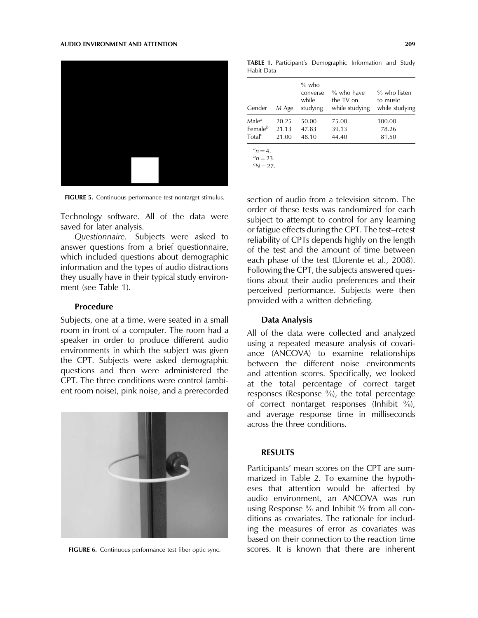

FIGURE 5. Continuous performance test nontarget stimulus.

Technology software. All of the data were saved for later analysis.

Questionnaire. Subjects were asked to answer questions from a brief questionnaire, which included questions about demographic information and the types of audio distractions they usually have in their typical study environment (see Table 1).

#### Procedure

Subjects, one at a time, were seated in a small room in front of a computer. The room had a speaker in order to produce different audio environments in which the subject was given the CPT. Subjects were asked demographic questions and then were administered the CPT. The three conditions were control (ambient room noise), pink noise, and a prerecorded



TABLE 1. Participant's Demographic Information and Study Habit Data

| Gender                         | M Age | $%$ who<br>converse<br>while<br>studying | % who have<br>the TV on<br>while studying | $\%$ who listen<br>to music<br>while studying |
|--------------------------------|-------|------------------------------------------|-------------------------------------------|-----------------------------------------------|
| Male <sup>a</sup>              | 20.25 | 50.00                                    | 75.00                                     | 100.00                                        |
| Female <sup>b</sup>            | 21.13 | 47.83                                    | 39.13                                     | 78.26                                         |
| Total <sup>c</sup>             | 21.00 | 48.10                                    | 44.40                                     | 81.50                                         |
| $n^{a}n = 4.$<br>$n^{b}n = 23$ |       |                                          |                                           |                                               |

 $n = 23.$ <br><sup>C</sup>N = 27

 $N = 27$ .

section of audio from a television sitcom. The order of these tests was randomized for each subject to attempt to control for any learning or fatigue effects during the CPT. The test–retest reliability of CPTs depends highly on the length of the test and the amount of time between each phase of the test (Llorente et al., 2008). Following the CPT, the subjects answered questions about their audio preferences and their perceived performance. Subjects were then provided with a written debriefing.

#### Data Analysis

All of the data were collected and analyzed using a repeated measure analysis of covariance (ANCOVA) to examine relationships between the different noise environments and attention scores. Specifically, we looked at the total percentage of correct target responses (Response %), the total percentage of correct nontarget responses (Inhibit  $\frac{9}{0}$ ), and average response time in milliseconds across the three conditions.

### RESULTS

Participants' mean scores on the CPT are summarized in Table 2. To examine the hypotheses that attention would be affected by audio environment, an ANCOVA was run using Response % and Inhibit % from all conditions as covariates. The rationale for including the measures of error as covariates was based on their connection to the reaction time FIGURE 6. Continuous performance test fiber optic sync. scores. It is known that there are inherent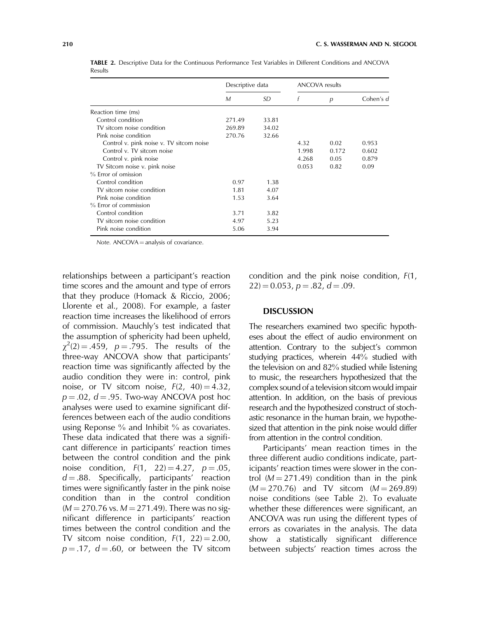|                                          | Descriptive data |       | <b>ANCOVA</b> results |       |           |
|------------------------------------------|------------------|-------|-----------------------|-------|-----------|
|                                          | M                | SD    |                       | p     | Cohen's d |
| Reaction time (ms)                       |                  |       |                       |       |           |
| Control condition                        | 271.49           | 33.81 |                       |       |           |
| TV sitcom noise condition                | 269.89           | 34.02 |                       |       |           |
| Pink noise condition                     | 270.76           | 32.66 |                       |       |           |
| Control v. pink noise v. TV sitcom noise |                  |       | 4.32                  | 0.02  | 0.953     |
| Control v. TV sitcom noise               |                  |       | 1.998                 | 0.172 | 0.602     |
| Control v. pink noise                    |                  |       | 4.268                 | 0.05  | 0.879     |
| TV Sitcom noise v. pink noise            |                  |       | 0.053                 | 0.82  | 0.09      |
| % Error of omission                      |                  |       |                       |       |           |
| Control condition                        | 0.97             | 1.38  |                       |       |           |
| TV sitcom noise condition                | 1.81             | 4.07  |                       |       |           |
| Pink noise condition                     | 1.53             | 3.64  |                       |       |           |
| % Error of commission                    |                  |       |                       |       |           |
| Control condition                        | 3.71             | 3.82  |                       |       |           |
| TV sitcom noise condition                | 4.97             | 5.23  |                       |       |           |
| Pink noise condition                     | 5.06             | 3.94  |                       |       |           |

TABLE 2. Descriptive Data for the Continuous Performance Test Variables in Different Conditions and ANCOVA Results

Note.  $ANCOVA =$  analysis of covariance.

relationships between a participant's reaction time scores and the amount and type of errors that they produce (Homack & Riccio, 2006; Llorente et al., 2008). For example, a faster reaction time increases the likelihood of errors of commission. Mauchly's test indicated that the assumption of sphericity had been upheld,  $\chi^2(2) = .459$ ,  $p = .795$ . The results of the three-way ANCOVA show that participants' reaction time was significantly affected by the audio condition they were in: control, pink noise, or TV sitcom noise,  $F(2, 40) = 4.32$ ,  $p = .02$ ,  $d = .95$ . Two-way ANCOVA post hoc analyses were used to examine significant differences between each of the audio conditions using Reponse % and Inhibit % as covariates. These data indicated that there was a significant difference in participants' reaction times between the control condition and the pink noise condition,  $F(1, 22) = 4.27$ ,  $p = .05$ ,  $d = .88$ . Specifically, participants' reaction times were significantly faster in the pink noise condition than in the control condition  $(M = 270.76 \text{ vs. } M = 271.49)$ . There was no significant difference in participants' reaction times between the control condition and the TV sitcom noise condition,  $F(1, 22) = 2.00$ ,  $p = .17$ ,  $d = .60$ , or between the TV sitcom

condition and the pink noise condition, F(1,  $22$ ) = 0.053, p = .82, d = .09.

#### **DISCUSSION**

The researchers examined two specific hypotheses about the effect of audio environment on attention. Contrary to the subject's common studying practices, wherein 44% studied with the television on and 82% studied while listening to music, the researchers hypothesized that the complex sound of a television sitcom would impair attention. In addition, on the basis of previous research and the hypothesized construct of stochastic resonance in the human brain, we hypothesized that attention in the pink noise would differ from attention in the control condition.

Participants' mean reaction times in the three different audio conditions indicate, participants' reaction times were slower in the control ( $M = 271.49$ ) condition than in the pink  $(M = 270.76)$  and TV sitcom  $(M = 269.89)$ noise conditions (see Table 2). To evaluate whether these differences were significant, an ANCOVA was run using the different types of errors as covariates in the analysis. The data show a statistically significant difference between subjects' reaction times across the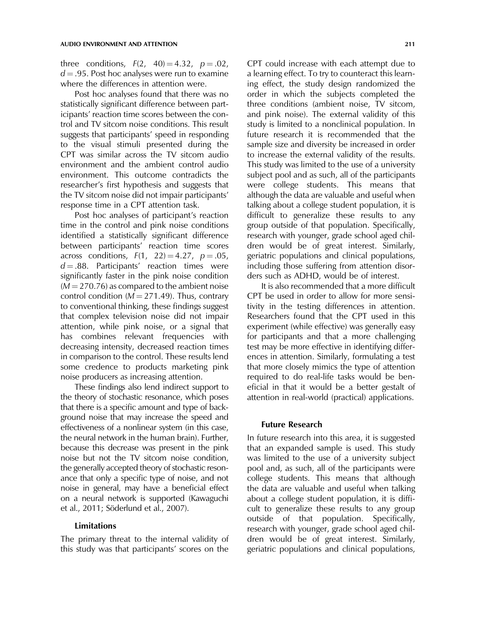three conditions,  $F(2, 40) = 4.32$ ,  $p = .02$ ,  $d = .95$ . Post hoc analyses were run to examine where the differences in attention were.

Post hoc analyses found that there was no statistically significant difference between participants' reaction time scores between the control and TV sitcom noise conditions. This result suggests that participants' speed in responding to the visual stimuli presented during the CPT was similar across the TV sitcom audio environment and the ambient control audio environment. This outcome contradicts the researcher's first hypothesis and suggests that the TV sitcom noise did not impair participants' response time in a CPT attention task.

Post hoc analyses of participant's reaction time in the control and pink noise conditions identified a statistically significant difference between participants' reaction time scores across conditions,  $F(1, 22) = 4.27$ ,  $p = .05$ ,  $d = .88$ . Participants' reaction times were significantly faster in the pink noise condition  $(M = 270.76)$  as compared to the ambient noise control condition ( $M = 271.49$ ). Thus, contrary to conventional thinking, these findings suggest that complex television noise did not impair attention, while pink noise, or a signal that has combines relevant frequencies with decreasing intensity, decreased reaction times in comparison to the control. These results lend some credence to products marketing pink noise producers as increasing attention.

These findings also lend indirect support to the theory of stochastic resonance, which poses that there is a specific amount and type of background noise that may increase the speed and effectiveness of a nonlinear system (in this case, the neural network in the human brain). Further, because this decrease was present in the pink noise but not the TV sitcom noise condition, the generally accepted theory of stochastic resonance that only a specific type of noise, and not noise in general, may have a beneficial effect on a neural network is supported (Kawaguchi et al., 2011; Söderlund et al., 2007).

## Limitations

The primary threat to the internal validity of this study was that participants' scores on the CPT could increase with each attempt due to a learning effect. To try to counteract this learning effect, the study design randomized the order in which the subjects completed the three conditions (ambient noise, TV sitcom, and pink noise). The external validity of this study is limited to a nonclinical population. In future research it is recommended that the sample size and diversity be increased in order to increase the external validity of the results. This study was limited to the use of a university subject pool and as such, all of the participants were college students. This means that although the data are valuable and useful when talking about a college student population, it is difficult to generalize these results to any group outside of that population. Specifically, research with younger, grade school aged children would be of great interest. Similarly, geriatric populations and clinical populations, including those suffering from attention disorders such as ADHD, would be of interest.

It is also recommended that a more difficult CPT be used in order to allow for more sensitivity in the testing differences in attention. Researchers found that the CPT used in this experiment (while effective) was generally easy for participants and that a more challenging test may be more effective in identifying differences in attention. Similarly, formulating a test that more closely mimics the type of attention required to do real-life tasks would be beneficial in that it would be a better gestalt of attention in real-world (practical) applications.

#### Future Research

In future research into this area, it is suggested that an expanded sample is used. This study was limited to the use of a university subject pool and, as such, all of the participants were college students. This means that although the data are valuable and useful when talking about a college student population, it is difficult to generalize these results to any group outside of that population. Specifically, research with younger, grade school aged children would be of great interest. Similarly, geriatric populations and clinical populations,